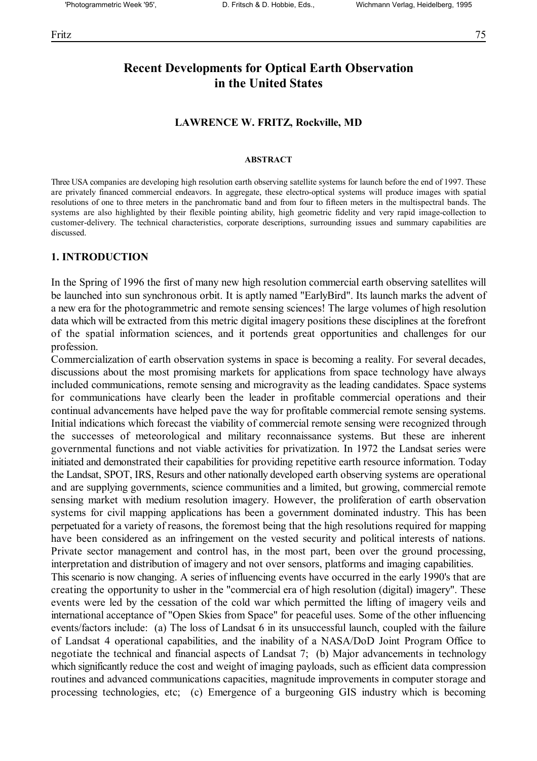## **Recent Developments for Optical Earth Observation in the United States**

#### **LAWRENCE W. FRITZ, Rockville, MD**

#### **ABSTRACT**

Three USA companies are developing high resolution earth observing satellite systems for launch before the end of 1997. These are privately financed commercial endeavors. In aggregate, these electro-optical systems will produce images with spatial resolutions of one to three meters in the panchromatic band and from four to fifteen meters in the multispectral bands. The systems are also highlighted by their flexible pointing ability, high geometric fidelity and very rapid image-collection to customer-delivery. The technical characteristics, corporate descriptions, surrounding issues and summary capabilities are discussed.

#### **1. INTRODUCTION**

In the Spring of 1996 the first of many new high resolution commercial earth observing satellites will be launched into sun synchronous orbit. It is aptly named "EarlyBird". Its launch marks the advent of a new era for the photogrammetric and remote sensing sciences! The large volumes of high resolution data which will be extracted from this metric digital imagery positions these disciplines at the forefront of the spatial information sciences, and it portends great opportunities and challenges for our profession.

Commercialization of earth observation systems in space is becoming a reality. For several decades, discussions about the most promising markets for applications from space technology have always included communications, remote sensing and microgravity as the leading candidates. Space systems for communications have clearly been the leader in profitable commercial operations and their continual advancements have helped pave the way for profitable commercial remote sensing systems. Initial indications which forecast the viability of commercial remote sensing were recognized through the successes of meteorological and military reconnaissance systems. But these are inherent governmental functions and not viable activities for privatization. In 1972 the Landsat series were initiated and demonstrated their capabilities for providing repetitive earth resource information. Today the Landsat, SPOT, IRS, Resurs and other nationally developed earth observing systems are operational and are supplying governments, science communities and a limited, but growing, commercial remote sensing market with medium resolution imagery. However, the proliferation of earth observation systems for civil mapping applications has been a government dominated industry. This has been perpetuated for a variety of reasons, the foremost being that the high resolutions required for mapping have been considered as an infringement on the vested security and political interests of nations. Private sector management and control has, in the most part, been over the ground processing, interpretation and distribution of imagery and not over sensors, platforms and imaging capabilities. This scenario is now changing. A series of influencing events have occurred in the early 1990's that are creating the opportunity to usher in the "commercial era of high resolution (digital) imagery". These

events were led by the cessation of the cold war which permitted the lifting of imagery veils and international acceptance of "Open Skies from Space" for peaceful uses. Some of the other influencing events/factors include: (a) The loss of Landsat 6 in its unsuccessful launch, coupled with the failure of Landsat 4 operational capabilities, and the inability of a NASA/DoD Joint Program Office to negotiate the technical and financial aspects of Landsat 7; (b) Major advancements in technology which significantly reduce the cost and weight of imaging payloads, such as efficient data compression routines and advanced communications capacities, magnitude improvements in computer storage and processing technologies, etc; (c) Emergence of a burgeoning GIS industry which is becoming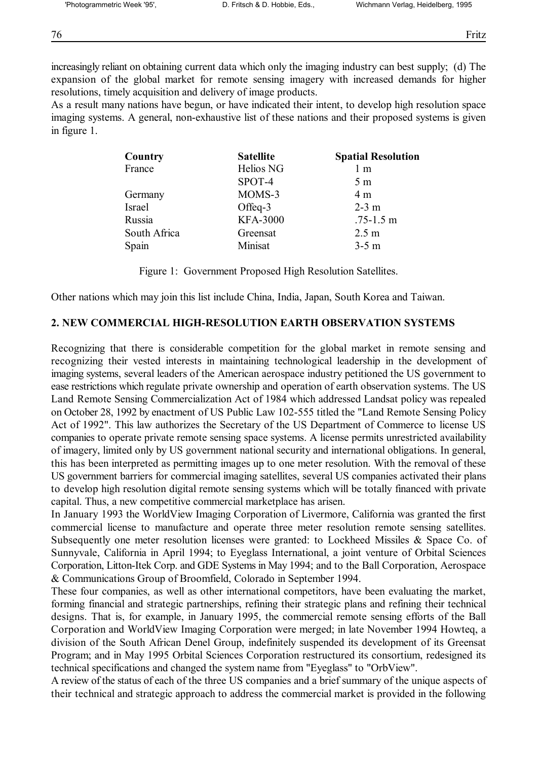increasingly reliant on obtaining current data which only the imaging industry can best supply; (d) The expansion of the global market for remote sensing imagery with increased demands for higher resolutions, timely acquisition and delivery of image products.

As a result many nations have begun, or have indicated their intent, to develop high resolution space imaging systems. A general, non-exhaustive list of these nations and their proposed systems is given in figure 1.

| Country      | <b>Satellite</b> | <b>Spatial Resolution</b> |
|--------------|------------------|---------------------------|
| France       | Helios NG        | $1 \text{ m}$             |
|              | SPOT-4           | 5 <sub>m</sub>            |
| Germany      | MOMS-3           | 4 <sub>m</sub>            |
| Israel       | Offeq-3          | $2-3$ m                   |
| Russia       | <b>KFA-3000</b>  | $.75 - 1.5$ m             |
| South Africa | Greensat         | 2.5 <sub>m</sub>          |
| Spain        | Minisat          | $3-5$ m                   |

Figure 1: Government Proposed High Resolution Satellites.

Other nations which may join this list include China, India, Japan, South Korea and Taiwan.

### **2. NEW COMMERCIAL HIGH-RESOLUTION EARTH OBSERVATION SYSTEMS**

Recognizing that there is considerable competition for the global market in remote sensing and recognizing their vested interests in maintaining technological leadership in the development of imaging systems, several leaders of the American aerospace industry petitioned the US government to ease restrictions which regulate private ownership and operation of earth observation systems. The US Land Remote Sensing Commercialization Act of 1984 which addressed Landsat policy was repealed on October 28, 1992 by enactment of US Public Law 102-555 titled the "Land Remote Sensing Policy Act of 1992". This law authorizes the Secretary of the US Department of Commerce to license US companies to operate private remote sensing space systems. A license permits unrestricted availability of imagery, limited only by US government national security and international obligations. In general, this has been interpreted as permitting images up to one meter resolution. With the removal of these US government barriers for commercial imaging satellites, several US companies activated their plans to develop high resolution digital remote sensing systems which will be totally financed with private capital. Thus, a new competitive commercial marketplace has arisen.

In January 1993 the WorldView Imaging Corporation of Livermore, California was granted the first commercial license to manufacture and operate three meter resolution remote sensing satellites. Subsequently one meter resolution licenses were granted: to Lockheed Missiles & Space Co. of Sunnyvale, California in April 1994; to Eyeglass International, a joint venture of Orbital Sciences Corporation, Litton-Itek Corp. and GDE Systems in May 1994; and to the Ball Corporation, Aerospace & Communications Group of Broomfield, Colorado in September 1994.

These four companies, as well as other international competitors, have been evaluating the market, forming financial and strategic partnerships, refining their strategic plans and refining their technical designs. That is, for example, in January 1995, the commercial remote sensing efforts of the Ball Corporation and WorldView Imaging Corporation were merged; in late November 1994 Howteq, a division of the South African Denel Group, indefinitely suspended its development of its Greensat Program; and in May 1995 Orbital Sciences Corporation restructured its consortium, redesigned its technical specifications and changed the system name from "Eyeglass" to "OrbView".

A review of the status of each of the three US companies and a brief summary of the unique aspects of their technical and strategic approach to address the commercial market is provided in the following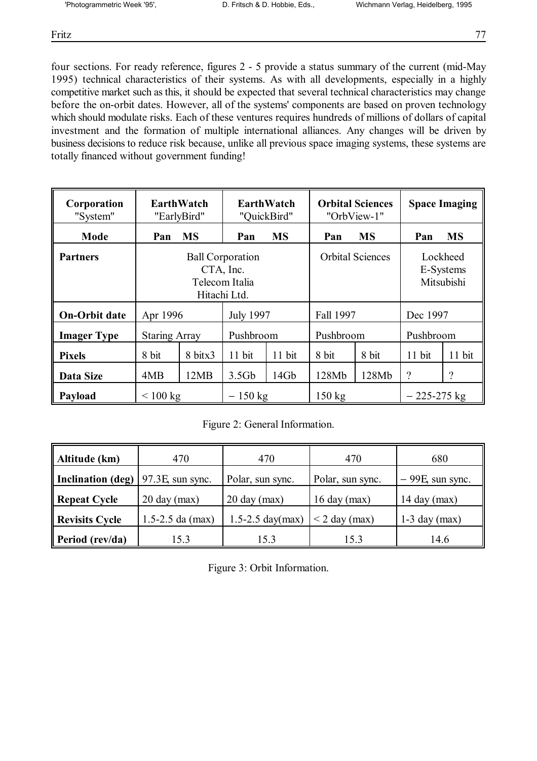Fritz 77

four sections. For ready reference, figures 2 - 5 provide a status summary of the current (mid-May 1995) technical characteristics of their systems. As with all developments, especially in a highly competitive market such as this, it should be expected that several technical characteristics may change before the on-orbit dates. However, all of the systems' components are based on proven technology which should modulate risks. Each of these ventures requires hundreds of millions of dollars of capital investment and the formation of multiple international alliances. Any changes will be driven by business decisions to reduce risk because, unlike all previous space imaging systems, these systems are totally financed without government funding!

| Corporation<br>"System" | <b>EarthWatch</b><br>"EarlyBird"                                       |           | <b>EarthWatch</b><br>"QuickBird" |                         | <b>Orbital Sciences</b><br>"OrbView-1" |                                     | <b>Space Imaging</b> |           |
|-------------------------|------------------------------------------------------------------------|-----------|----------------------------------|-------------------------|----------------------------------------|-------------------------------------|----------------------|-----------|
| Mode                    | Pan                                                                    | <b>MS</b> | Pan                              | <b>MS</b>               | Pan                                    | <b>MS</b>                           | Pan                  | <b>MS</b> |
| <b>Partners</b>         | <b>Ball Corporation</b><br>CTA, Inc.<br>Telecom Italia<br>Hitachi Ltd. |           |                                  | <b>Orbital Sciences</b> |                                        | Lockheed<br>E-Systems<br>Mitsubishi |                      |           |
| <b>On-Orbit date</b>    | <b>July 1997</b><br>Apr 1996                                           |           | Fall 1997                        |                         | Dec 1997                               |                                     |                      |           |
| <b>Imager Type</b>      | Pushbroom<br><b>Staring Array</b>                                      |           | Pushbroom                        |                         | Pushbroom                              |                                     |                      |           |
| <b>Pixels</b>           | 8 bit                                                                  | 8 bitx3   | 11 bit                           | 11 bit                  | 8 bit                                  | 8 bit                               | 11 bit               | 11 bit    |
| Data Size               | 4MB                                                                    | 12MB      | 3.5 <sub>Gb</sub>                | 14Gb                    | 128Mb                                  | 128Mb                               | $\gamma$             | ?         |
| Payload                 | < 100 kg                                                               |           | $-150$ kg                        |                         | $150 \text{ kg}$                       |                                     | $-225-275$ kg        |           |

Figure 2: General Information.

| Altitude (km)                                | 470                    | 470                    | 470                | 680                |
|----------------------------------------------|------------------------|------------------------|--------------------|--------------------|
| Inclination (deg) $\sqrt{97.3E}$ , sun sync. |                        | Polar, sun sync.       | Polar, sun sync.   | $-99E$ , sun sync. |
| <b>Repeat Cycle</b>                          | $20 \text{ day (max)}$ | $20 \text{ day (max)}$ | $16$ day (max)     | 14 day $(max)$     |
| <b>Revisits Cycle</b>                        | $1.5 - 2.5$ da (max)   | $1.5 - 2.5$ day(max)   | $\leq$ 2 day (max) | $1-3$ day (max)    |
| Period (rev/da)                              | 15.3                   | 15.3                   | 15.3               | 14.6               |

|  |  | Figure 3: Orbit Information. |
|--|--|------------------------------|
|  |  |                              |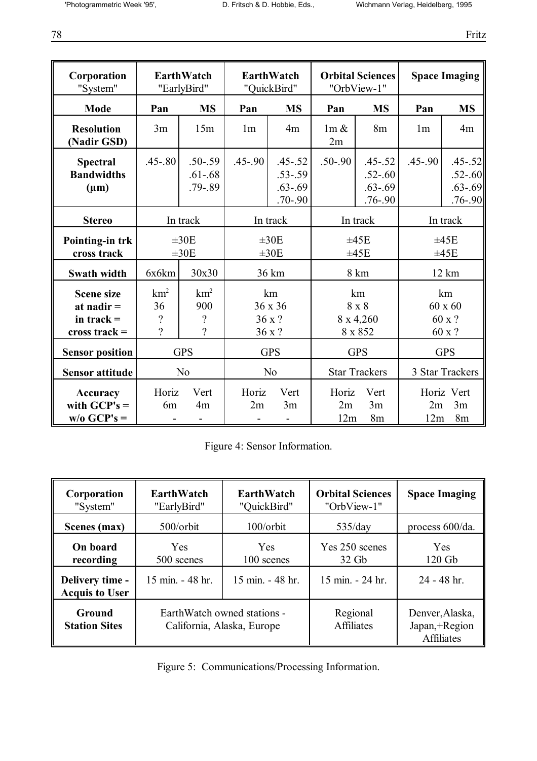78 Fritz

| Corporation<br>"System"                                              |                                                               | <b>EarthWatch</b><br>"EarlyBird"                      |                | EarthWatch<br>"QuickBird"                                |                    | <b>Orbital Sciences</b><br>"OrbView-1"                   |                | <b>Space Imaging</b>                                     |  |
|----------------------------------------------------------------------|---------------------------------------------------------------|-------------------------------------------------------|----------------|----------------------------------------------------------|--------------------|----------------------------------------------------------|----------------|----------------------------------------------------------|--|
| Mode                                                                 | Pan                                                           | <b>MS</b>                                             | Pan            | <b>MS</b>                                                | Pan                | <b>MS</b>                                                | Pan            | <b>MS</b>                                                |  |
| <b>Resolution</b><br>(Nadir GSD)                                     | 3m                                                            | 15m                                                   | 1 <sub>m</sub> | 4m                                                       | $1m \&$<br>2m      | 8m                                                       | 1 <sub>m</sub> | 4m                                                       |  |
| <b>Spectral</b><br><b>Bandwidths</b><br>$(\mu m)$                    | $.45 - .80$                                                   | $.50 - .59$<br>$.61 - .68$<br>$.79 - .89$             | $.45 - .90$    | $.45 - .52$<br>$.53 - .59$<br>$.63 - .69$<br>$.70 - .90$ | $.50 - .90$        | $.45 - .52$<br>$.52 - .60$<br>$.63 - .69$<br>$.76 - .90$ | $.45 - .90$    | $.45 - .52$<br>$.52 - .60$<br>$.63 - .69$<br>$.76 - .90$ |  |
| <b>Stereo</b>                                                        |                                                               | In track                                              |                | In track                                                 |                    | In track                                                 |                | In track                                                 |  |
| Pointing-in trk<br>cross track                                       |                                                               | $\pm 30E$<br>$\pm 30E$                                |                | $\pm 30E$<br>$\pm 30E$                                   |                    | ±45E<br>±45E                                             |                | ±45E<br>±45E                                             |  |
| Swath width                                                          | 6x6km                                                         | 30x30                                                 |                | 36 km                                                    |                    | 8 km                                                     |                | 12 km                                                    |  |
| <b>Scene size</b><br>at nadir $=$<br>in track $=$<br>cross track $=$ | km <sup>2</sup><br>36<br>$\overline{\mathcal{C}}$<br>$\gamma$ | $km^2$<br>900<br>$\overline{\mathcal{L}}$<br>$\gamma$ |                | km<br>36 x 36<br>36 x ?<br>36 x ?                        |                    | km<br>8 x 8<br>8 x 4,260<br>8 x 852                      |                | km<br>$60 \times 60$<br>60 x ?<br>60 x ?                 |  |
| <b>Sensor position</b>                                               |                                                               | <b>GPS</b>                                            | <b>GPS</b>     |                                                          | <b>GPS</b>         |                                                          | <b>GPS</b>     |                                                          |  |
| <b>Sensor attitude</b>                                               |                                                               | N <sub>o</sub>                                        |                | N <sub>o</sub>                                           |                    | <b>Star Trackers</b>                                     |                | 3 Star Trackers                                          |  |
| <b>Accuracy</b><br>with $GCP's =$<br>$w/o$ GCP's =                   | Horiz<br>6 <sub>m</sub>                                       | Vert<br>4m                                            | Horiz<br>2m    | Vert<br>3m                                               | Horiz<br>2m<br>12m | Vert<br>3m<br>8 <sub>m</sub>                             | 2m<br>12m      | Horiz Vert<br>3m<br>8m                                   |  |

|  |  | Figure 4: Sensor Information. |
|--|--|-------------------------------|
|--|--|-------------------------------|

| Corporation<br>"System"                  | EarthWatch<br>"EarlyBird"                                 | EarthWatch<br>"QuickBird"          | <b>Orbital Sciences</b><br>"OrbView-1" | <b>Space Imaging</b>                                  |
|------------------------------------------|-----------------------------------------------------------|------------------------------------|----------------------------------------|-------------------------------------------------------|
| Scenes (max)                             | $500$ /orbit                                              | $100$ /orbit                       | 535/day                                | process 600/da.                                       |
| On board<br>recording                    | Yes<br>500 scenes                                         | <b>Yes</b><br>100 scenes           | Yes 250 scenes<br>$32\,$ Gb            | Yes<br>$120$ Gb                                       |
| Delivery time -<br><b>Acquis to User</b> | $15 \text{ min} - 48 \text{ hr}$ .                        | $15 \text{ min} - 48 \text{ hr}$ . | 15 min. - 24 hr.                       | $24 - 48$ hr.                                         |
| Ground<br><b>Station Sites</b>           | EarthWatch owned stations -<br>California, Alaska, Europe |                                    | Regional<br><b>Affiliates</b>          | Denver, Alaska,<br>Japan,+Region<br><b>Affiliates</b> |

Figure 5: Communications/Processing Information.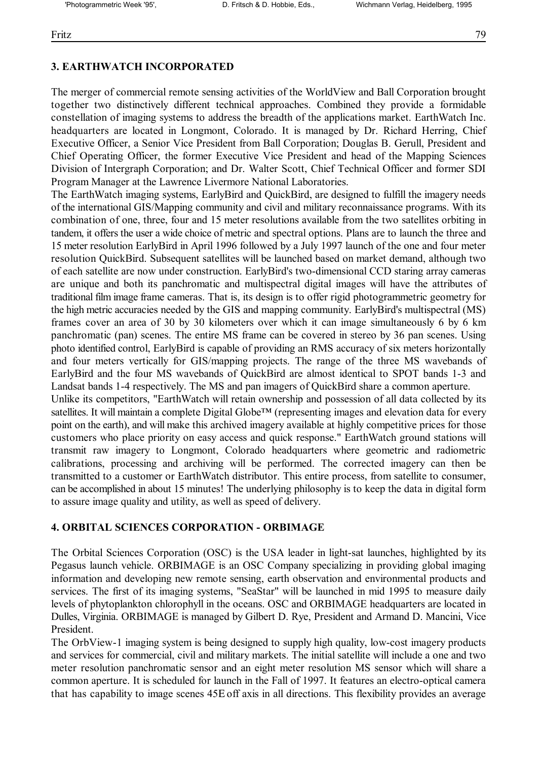# **3. EARTHWATCH INCORPORATED**

The merger of commercial remote sensing activities of the WorldView and Ball Corporation brought together two distinctively different technical approaches. Combined they provide a formidable constellation of imaging systems to address the breadth of the applications market. EarthWatch Inc. headquarters are located in Longmont, Colorado. It is managed by Dr. Richard Herring, Chief Executive Officer, a Senior Vice President from Ball Corporation; Douglas B. Gerull, President and Chief Operating Officer, the former Executive Vice President and head of the Mapping Sciences Division of Intergraph Corporation; and Dr. Walter Scott, Chief Technical Officer and former SDI Program Manager at the Lawrence Livermore National Laboratories.

The EarthWatch imaging systems, EarlyBird and QuickBird, are designed to fulfill the imagery needs of the international GIS/Mapping community and civil and military reconnaissance programs. With its combination of one, three, four and 15 meter resolutions available from the two satellites orbiting in tandem, it offers the user a wide choice of metric and spectral options. Plans are to launch the three and 15 meter resolution EarlyBird in April 1996 followed by a July 1997 launch of the one and four meter resolution QuickBird. Subsequent satellites will be launched based on market demand, although two of each satellite are now under construction. EarlyBird's two-dimensional CCD staring array cameras are unique and both its panchromatic and multispectral digital images will have the attributes of traditional film image frame cameras. That is, its design is to offer rigid photogrammetric geometry for the high metric accuracies needed by the GIS and mapping community. EarlyBird's multispectral (MS) frames cover an area of 30 by 30 kilometers over which it can image simultaneously 6 by 6 km panchromatic (pan) scenes. The entire MS frame can be covered in stereo by 36 pan scenes. Using photo identified control, EarlyBird is capable of providing an RMS accuracy of six meters horizontally and four meters vertically for GIS/mapping projects. The range of the three MS wavebands of EarlyBird and the four MS wavebands of QuickBird are almost identical to SPOT bands 1-3 and Landsat bands 1-4 respectively. The MS and pan imagers of QuickBird share a common aperture.

Unlike its competitors, "EarthWatch will retain ownership and possession of all data collected by its satellites. It will maintain a complete Digital Globe<sup>TM</sup> (representing images and elevation data for every point on the earth), and will make this archived imagery available at highly competitive prices for those customers who place priority on easy access and quick response." EarthWatch ground stations will transmit raw imagery to Longmont, Colorado headquarters where geometric and radiometric calibrations, processing and archiving will be performed. The corrected imagery can then be transmitted to a customer or EarthWatch distributor. This entire process, from satellite to consumer, can be accomplished in about 15 minutes! The underlying philosophy is to keep the data in digital form to assure image quality and utility, as well as speed of delivery.

#### **4. ORBITAL SCIENCES CORPORATION - ORBIMAGE**

The Orbital Sciences Corporation (OSC) is the USA leader in light-sat launches, highlighted by its Pegasus launch vehicle. ORBIMAGE is an OSC Company specializing in providing global imaging information and developing new remote sensing, earth observation and environmental products and services. The first of its imaging systems, "SeaStar" will be launched in mid 1995 to measure daily levels of phytoplankton chlorophyll in the oceans. OSC and ORBIMAGE headquarters are located in Dulles, Virginia. ORBIMAGE is managed by Gilbert D. Rye, President and Armand D. Mancini, Vice President.

The OrbView-1 imaging system is being designed to supply high quality, low-cost imagery products and services for commercial, civil and military markets. The initial satellite will include a one and two meter resolution panchromatic sensor and an eight meter resolution MS sensor which will share a common aperture. It is scheduled for launch in the Fall of 1997. It features an electro-optical camera that has capability to image scenes 45Ε off axis in all directions. This flexibility provides an average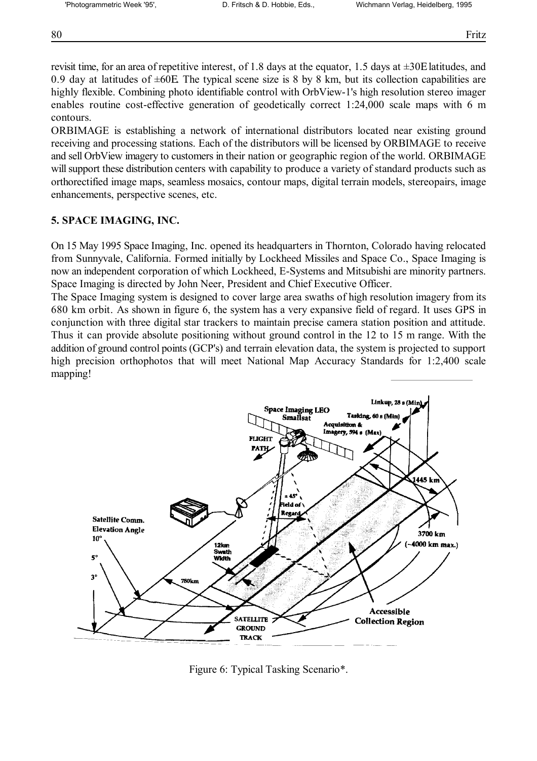revisit time, for an area of repetitive interest, of 1.8 days at the equator, 1.5 days at ±30Ε latitudes, and 0.9 day at latitudes of ±60Ε. The typical scene size is 8 by 8 km, but its collection capabilities are highly flexible. Combining photo identifiable control with OrbView-1's high resolution stereo imager enables routine cost-effective generation of geodetically correct 1:24,000 scale maps with 6 m contours.

ORBIMAGE is establishing a network of international distributors located near existing ground receiving and processing stations. Each of the distributors will be licensed by ORBIMAGE to receive and sell OrbView imagery to customers in their nation or geographic region of the world. ORBIMAGE will support these distribution centers with capability to produce a variety of standard products such as orthorectified image maps, seamless mosaics, contour maps, digital terrain models, stereopairs, image enhancements, perspective scenes, etc.

### **5. SPACE IMAGING, INC.**

On 15 May 1995 Space Imaging, Inc. opened its headquarters in Thornton, Colorado having relocated from Sunnyvale, California. Formed initially by Lockheed Missiles and Space Co., Space Imaging is now an independent corporation of which Lockheed, E-Systems and Mitsubishi are minority partners. Space Imaging is directed by John Neer, President and Chief Executive Officer.

The Space Imaging system is designed to cover large area swaths of high resolution imagery from its 680 km orbit. As shown in figure 6, the system has a very expansive field of regard. It uses GPS in conjunction with three digital star trackers to maintain precise camera station position and attitude. Thus it can provide absolute positioning without ground control in the 12 to 15 m range. With the addition of ground control points (GCP's) and terrain elevation data, the system is projected to support high precision orthophotos that will meet National Map Accuracy Standards for 1:2,400 scale mapping!



Figure 6: Typical Tasking Scenario\*.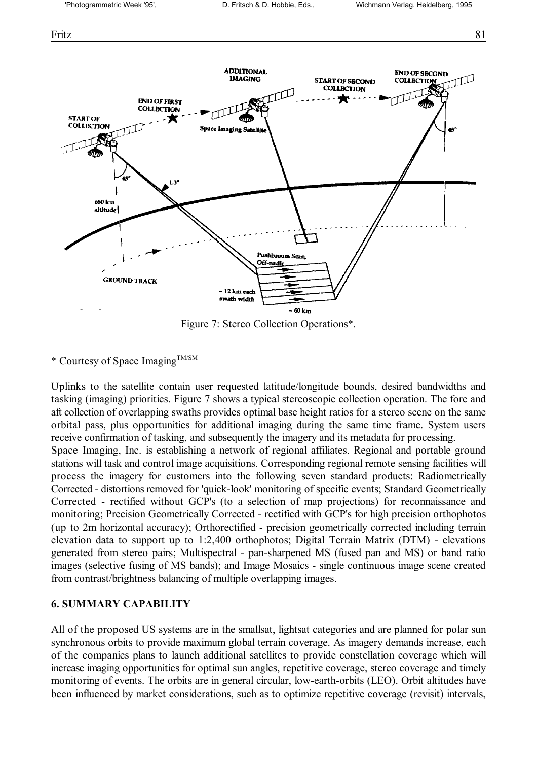Fritz 81



Figure 7: Stereo Collection Operations\*.

\* Courtesy of Space ImagingTM/SM

Uplinks to the satellite contain user requested latitude/longitude bounds, desired bandwidths and tasking (imaging) priorities. Figure 7 shows a typical stereoscopic collection operation. The fore and aft collection of overlapping swaths provides optimal base height ratios for a stereo scene on the same orbital pass, plus opportunities for additional imaging during the same time frame. System users receive confirmation of tasking, and subsequently the imagery and its metadata for processing.

Space Imaging, Inc. is establishing a network of regional affiliates. Regional and portable ground stations will task and control image acquisitions. Corresponding regional remote sensing facilities will process the imagery for customers into the following seven standard products: Radiometrically Corrected - distortions removed for 'quick-look' monitoring of specific events; Standard Geometrically Corrected - rectified without GCP's (to a selection of map projections) for reconnaissance and monitoring; Precision Geometrically Corrected - rectified with GCP's for high precision orthophotos (up to 2m horizontal accuracy); Orthorectified - precision geometrically corrected including terrain elevation data to support up to 1:2,400 orthophotos; Digital Terrain Matrix (DTM) - elevations generated from stereo pairs; Multispectral - pan-sharpened MS (fused pan and MS) or band ratio images (selective fusing of MS bands); and Image Mosaics - single continuous image scene created from contrast/brightness balancing of multiple overlapping images.

#### **6. SUMMARY CAPABILITY**

All of the proposed US systems are in the smallsat, lightsat categories and are planned for polar sun synchronous orbits to provide maximum global terrain coverage. As imagery demands increase, each of the companies plans to launch additional satellites to provide constellation coverage which will increase imaging opportunities for optimal sun angles, repetitive coverage, stereo coverage and timely monitoring of events. The orbits are in general circular, low-earth-orbits (LEO). Orbit altitudes have been influenced by market considerations, such as to optimize repetitive coverage (revisit) intervals,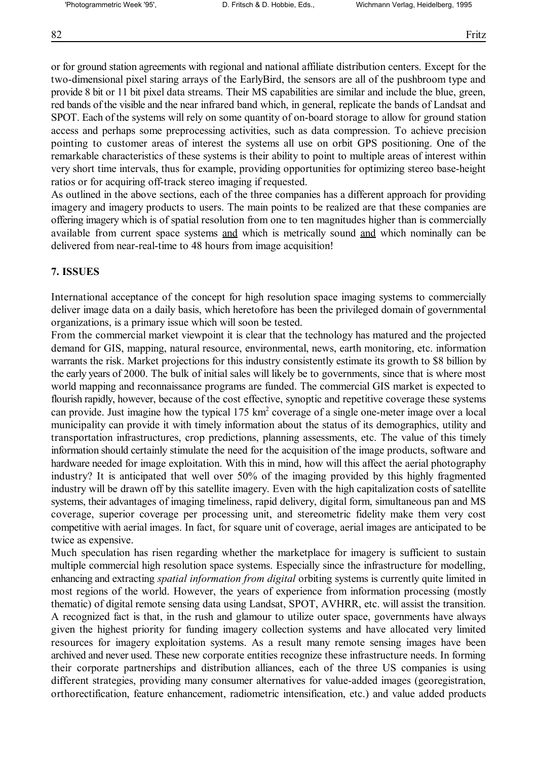or for ground station agreements with regional and national affiliate distribution centers. Except for the two-dimensional pixel staring arrays of the EarlyBird, the sensors are all of the pushbroom type and provide 8 bit or 11 bit pixel data streams. Their MS capabilities are similar and include the blue, green, red bands of the visible and the near infrared band which, in general, replicate the bands of Landsat and SPOT. Each of the systems will rely on some quantity of on-board storage to allow for ground station access and perhaps some preprocessing activities, such as data compression. To achieve precision pointing to customer areas of interest the systems all use on orbit GPS positioning. One of the remarkable characteristics of these systems is their ability to point to multiple areas of interest within very short time intervals, thus for example, providing opportunities for optimizing stereo base-height ratios or for acquiring off-track stereo imaging if requested.

As outlined in the above sections, each of the three companies has a different approach for providing imagery and imagery products to users. The main points to be realized are that these companies are offering imagery which is of spatial resolution from one to ten magnitudes higher than is commercially available from current space systems and which is metrically sound and which nominally can be delivered from near-real-time to 48 hours from image acquisition!

#### **7. ISSUES**

International acceptance of the concept for high resolution space imaging systems to commercially deliver image data on a daily basis, which heretofore has been the privileged domain of governmental organizations, is a primary issue which will soon be tested.

From the commercial market viewpoint it is clear that the technology has matured and the projected demand for GIS, mapping, natural resource, environmental, news, earth monitoring, etc. information warrants the risk. Market projections for this industry consistently estimate its growth to \$8 billion by the early years of 2000. The bulk of initial sales will likely be to governments, since that is where most world mapping and reconnaissance programs are funded. The commercial GIS market is expected to flourish rapidly, however, because of the cost effective, synoptic and repetitive coverage these systems can provide. Just imagine how the typical 175 km<sup>2</sup> coverage of a single one-meter image over a local municipality can provide it with timely information about the status of its demographics, utility and transportation infrastructures, crop predictions, planning assessments, etc. The value of this timely information should certainly stimulate the need for the acquisition of the image products, software and hardware needed for image exploitation. With this in mind, how will this affect the aerial photography industry? It is anticipated that well over 50% of the imaging provided by this highly fragmented industry will be drawn off by this satellite imagery. Even with the high capitalization costs of satellite systems, their advantages of imaging timeliness, rapid delivery, digital form, simultaneous pan and MS coverage, superior coverage per processing unit, and stereometric fidelity make them very cost competitive with aerial images. In fact, for square unit of coverage, aerial images are anticipated to be twice as expensive.

Much speculation has risen regarding whether the marketplace for imagery is sufficient to sustain multiple commercial high resolution space systems. Especially since the infrastructure for modelling, enhancing and extracting *spatial information from digital* orbiting systems is currently quite limited in most regions of the world. However, the years of experience from information processing (mostly thematic) of digital remote sensing data using Landsat, SPOT, AVHRR, etc. will assist the transition. A recognized fact is that, in the rush and glamour to utilize outer space, governments have always given the highest priority for funding imagery collection systems and have allocated very limited resources for imagery exploitation systems. As a result many remote sensing images have been archived and never used. These new corporate entities recognize these infrastructure needs. In forming their corporate partnerships and distribution alliances, each of the three US companies is using different strategies, providing many consumer alternatives for value-added images (georegistration, orthorectification, feature enhancement, radiometric intensification, etc.) and value added products